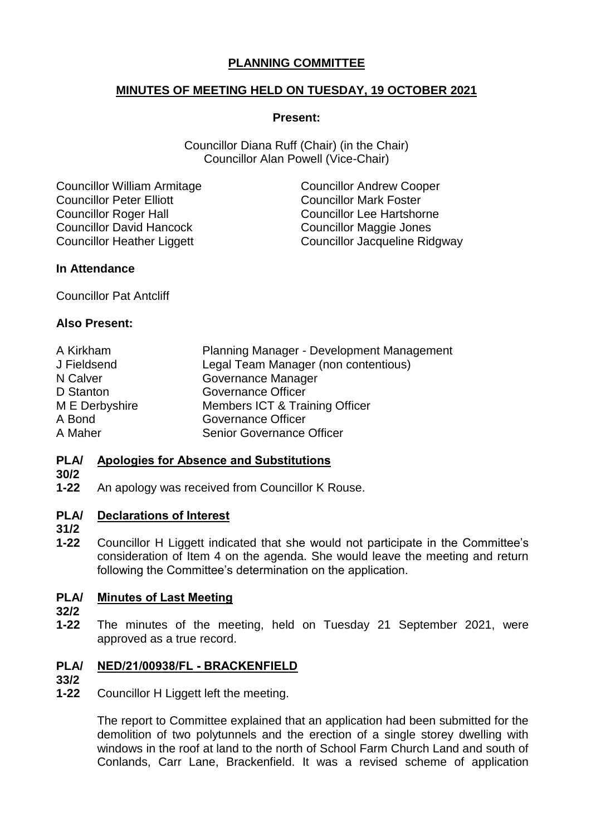# **PLANNING COMMITTEE**

# **MINUTES OF MEETING HELD ON TUESDAY, 19 OCTOBER 2021**

### **Present:**

Councillor Diana Ruff (Chair) (in the Chair) Councillor Alan Powell (Vice-Chair)

Councillor William Armitage Councillor Andrew Cooper Councillor Peter Elliott Councillor Mark Foster Councillor Roger Hall Councillor Lee Hartshorne Councillor David Hancock Councillor Maggie Jones

Councillor Heather Liggett Councillor Jacqueline Ridgway

## **In Attendance**

Councillor Pat Antcliff

# **Also Present:**

| A Kirkham      | Planning Manager - Development Management |
|----------------|-------------------------------------------|
| J Fieldsend    | Legal Team Manager (non contentious)      |
| N Calver       | Governance Manager                        |
| D Stanton      | <b>Governance Officer</b>                 |
| M E Derbyshire | Members ICT & Training Officer            |
| A Bond         | <b>Governance Officer</b>                 |
| A Maher        | <b>Senior Governance Officer</b>          |

#### **PLA/ Apologies for Absence and Substitutions**

## **30/2**

**1-22** An apology was received from Councillor K Rouse.

#### **PLA/ Declarations of Interest**

- **31/2**
- 
- **1-22** Councillor H Liggett indicated that she would not participate in the Committee's consideration of Item 4 on the agenda. She would leave the meeting and return following the Committee's determination on the application.

#### **PLA/ Minutes of Last Meeting**

- **32/2**
- **1-22** The minutes of the meeting, held on Tuesday 21 September 2021, were approved as a true record.

### **PLA/ NED/21/00938/FL - BRACKENFIELD**

### **33/2**

**1-22** Councillor H Liggett left the meeting.

> The report to Committee explained that an application had been submitted for the demolition of two polytunnels and the erection of a single storey dwelling with windows in the roof at land to the north of School Farm Church Land and south of Conlands, Carr Lane, Brackenfield. It was a revised scheme of application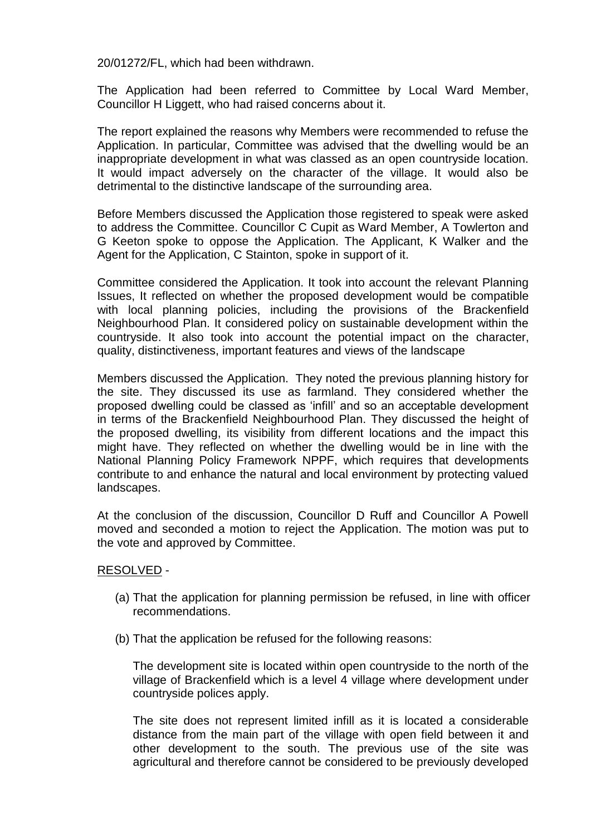20/01272/FL, which had been withdrawn.

The Application had been referred to Committee by Local Ward Member, Councillor H Liggett, who had raised concerns about it.

The report explained the reasons why Members were recommended to refuse the Application. In particular, Committee was advised that the dwelling would be an inappropriate development in what was classed as an open countryside location. It would impact adversely on the character of the village. It would also be detrimental to the distinctive landscape of the surrounding area.

Before Members discussed the Application those registered to speak were asked to address the Committee. Councillor C Cupit as Ward Member, A Towlerton and G Keeton spoke to oppose the Application. The Applicant, K Walker and the Agent for the Application, C Stainton, spoke in support of it.

Committee considered the Application. It took into account the relevant Planning Issues, It reflected on whether the proposed development would be compatible with local planning policies, including the provisions of the Brackenfield Neighbourhood Plan. It considered policy on sustainable development within the countryside. It also took into account the potential impact on the character, quality, distinctiveness, important features and views of the landscape

Members discussed the Application. They noted the previous planning history for the site. They discussed its use as farmland. They considered whether the proposed dwelling could be classed as 'infill' and so an acceptable development in terms of the Brackenfield Neighbourhood Plan. They discussed the height of the proposed dwelling, its visibility from different locations and the impact this might have. They reflected on whether the dwelling would be in line with the National Planning Policy Framework NPPF, which requires that developments contribute to and enhance the natural and local environment by protecting valued landscapes.

At the conclusion of the discussion, Councillor D Ruff and Councillor A Powell moved and seconded a motion to reject the Application. The motion was put to the vote and approved by Committee.

## RESOLVED -

- (a) That the application for planning permission be refused, in line with officer recommendations.
- (b) That the application be refused for the following reasons:

The development site is located within open countryside to the north of the village of Brackenfield which is a level 4 village where development under countryside polices apply.

The site does not represent limited infill as it is located a considerable distance from the main part of the village with open field between it and other development to the south. The previous use of the site was agricultural and therefore cannot be considered to be previously developed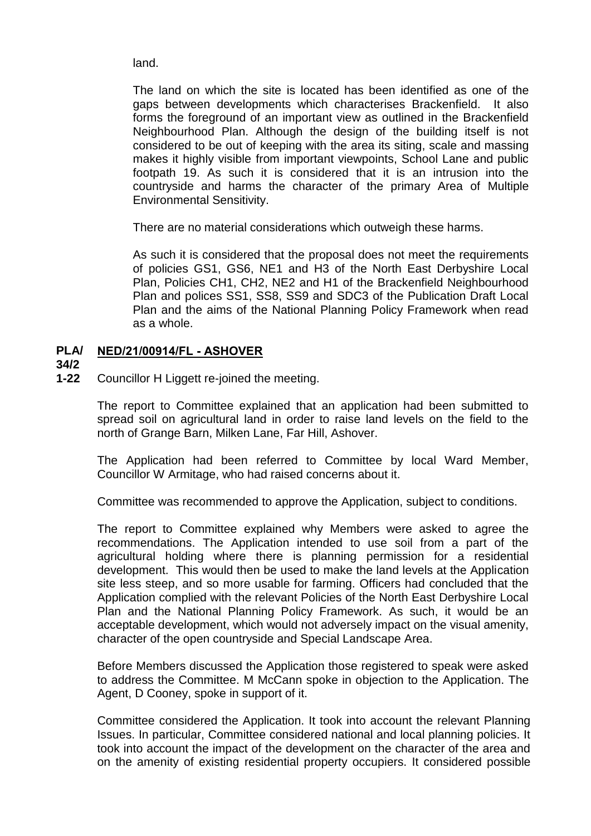land.

The land on which the site is located has been identified as one of the gaps between developments which characterises Brackenfield. It also forms the foreground of an important view as outlined in the Brackenfield Neighbourhood Plan. Although the design of the building itself is not considered to be out of keeping with the area its siting, scale and massing makes it highly visible from important viewpoints, School Lane and public footpath 19. As such it is considered that it is an intrusion into the countryside and harms the character of the primary Area of Multiple Environmental Sensitivity.

There are no material considerations which outweigh these harms.

As such it is considered that the proposal does not meet the requirements of policies GS1, GS6, NE1 and H3 of the North East Derbyshire Local Plan, Policies CH1, CH2, NE2 and H1 of the Brackenfield Neighbourhood Plan and polices SS1, SS8, SS9 and SDC3 of the Publication Draft Local Plan and the aims of the National Planning Policy Framework when read as a whole.

### **PLA/ NED/21/00914/FL - ASHOVER**

- **34/2**
- **1-22** Councillor H Liggett re-joined the meeting.

The report to Committee explained that an application had been submitted to spread soil on agricultural land in order to raise land levels on the field to the north of Grange Barn, Milken Lane, Far Hill, Ashover.

The Application had been referred to Committee by local Ward Member, Councillor W Armitage, who had raised concerns about it.

Committee was recommended to approve the Application, subject to conditions.

The report to Committee explained why Members were asked to agree the recommendations. The Application intended to use soil from a part of the agricultural holding where there is planning permission for a residential development. This would then be used to make the land levels at the Application site less steep, and so more usable for farming. Officers had concluded that the Application complied with the relevant Policies of the North East Derbyshire Local Plan and the National Planning Policy Framework. As such, it would be an acceptable development, which would not adversely impact on the visual amenity, character of the open countryside and Special Landscape Area.

Before Members discussed the Application those registered to speak were asked to address the Committee. M McCann spoke in objection to the Application. The Agent, D Cooney, spoke in support of it.

Committee considered the Application. It took into account the relevant Planning Issues. In particular, Committee considered national and local planning policies. It took into account the impact of the development on the character of the area and on the amenity of existing residential property occupiers. It considered possible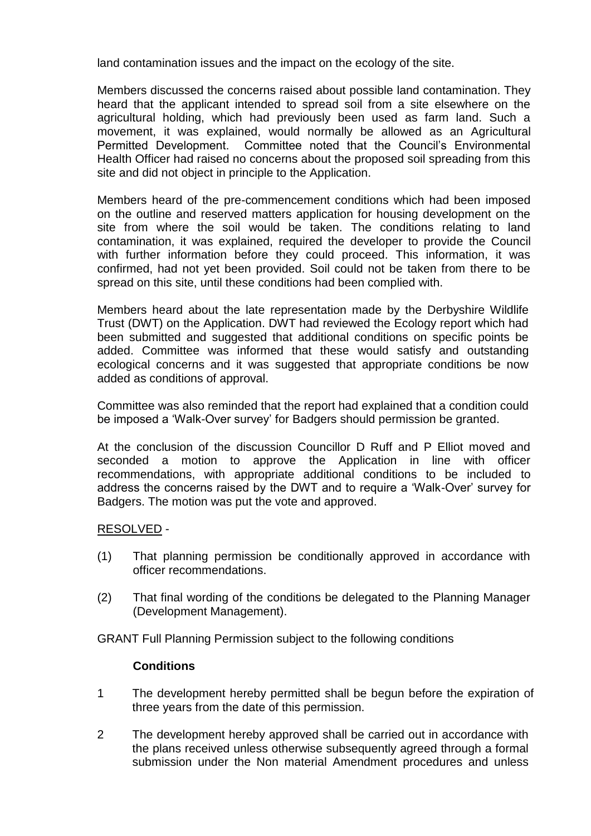land contamination issues and the impact on the ecology of the site.

Members discussed the concerns raised about possible land contamination. They heard that the applicant intended to spread soil from a site elsewhere on the agricultural holding, which had previously been used as farm land. Such a movement, it was explained, would normally be allowed as an Agricultural Permitted Development. Committee noted that the Council's Environmental Health Officer had raised no concerns about the proposed soil spreading from this site and did not object in principle to the Application.

Members heard of the pre-commencement conditions which had been imposed on the outline and reserved matters application for housing development on the site from where the soil would be taken. The conditions relating to land contamination, it was explained, required the developer to provide the Council with further information before they could proceed. This information, it was confirmed, had not yet been provided. Soil could not be taken from there to be spread on this site, until these conditions had been complied with.

Members heard about the late representation made by the Derbyshire Wildlife Trust (DWT) on the Application. DWT had reviewed the Ecology report which had been submitted and suggested that additional conditions on specific points be added. Committee was informed that these would satisfy and outstanding ecological concerns and it was suggested that appropriate conditions be now added as conditions of approval.

Committee was also reminded that the report had explained that a condition could be imposed a 'Walk-Over survey' for Badgers should permission be granted.

At the conclusion of the discussion Councillor D Ruff and P Elliot moved and seconded a motion to approve the Application in line with officer recommendations, with appropriate additional conditions to be included to address the concerns raised by the DWT and to require a 'Walk-Over' survey for Badgers. The motion was put the vote and approved.

## RESOLVED -

- (1) That planning permission be conditionally approved in accordance with officer recommendations.
- (2) That final wording of the conditions be delegated to the Planning Manager (Development Management).

GRANT Full Planning Permission subject to the following conditions

### **Conditions**

- 1 The development hereby permitted shall be begun before the expiration of three years from the date of this permission.
- 2 The development hereby approved shall be carried out in accordance with the plans received unless otherwise subsequently agreed through a formal submission under the Non material Amendment procedures and unless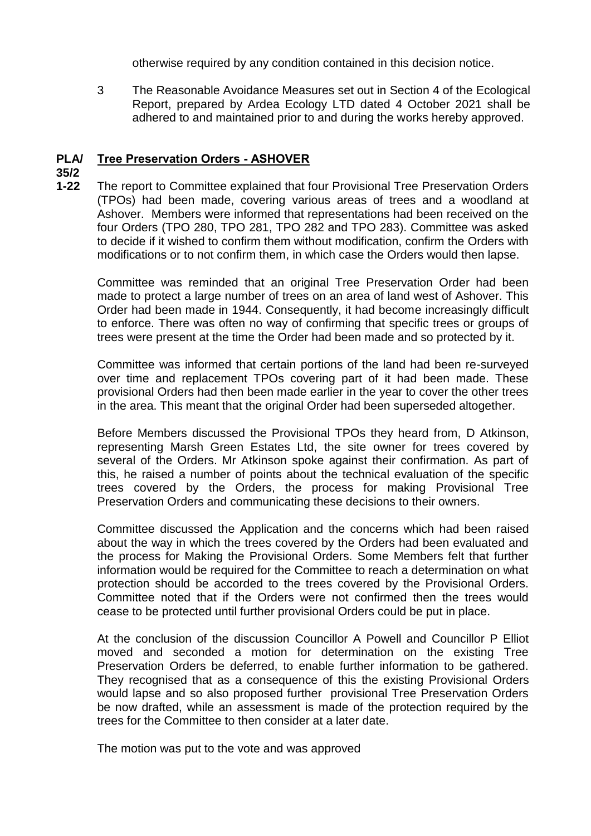otherwise required by any condition contained in this decision notice.

3 The Reasonable Avoidance Measures set out in Section 4 of the Ecological Report, prepared by Ardea Ecology LTD dated 4 October 2021 shall be adhered to and maintained prior to and during the works hereby approved.

### **PLA/ Tree Preservation Orders - ASHOVER**

# **35/2**

**1-22** The report to Committee explained that four Provisional Tree Preservation Orders (TPOs) had been made, covering various areas of trees and a woodland at Ashover. Members were informed that representations had been received on the four Orders (TPO 280, TPO 281, TPO 282 and TPO 283). Committee was asked to decide if it wished to confirm them without modification, confirm the Orders with modifications or to not confirm them, in which case the Orders would then lapse.

Committee was reminded that an original Tree Preservation Order had been made to protect a large number of trees on an area of land west of Ashover. This Order had been made in 1944. Consequently, it had become increasingly difficult to enforce. There was often no way of confirming that specific trees or groups of trees were present at the time the Order had been made and so protected by it.

Committee was informed that certain portions of the land had been re-surveyed over time and replacement TPOs covering part of it had been made. These provisional Orders had then been made earlier in the year to cover the other trees in the area. This meant that the original Order had been superseded altogether.

Before Members discussed the Provisional TPOs they heard from, D Atkinson, representing Marsh Green Estates Ltd, the site owner for trees covered by several of the Orders. Mr Atkinson spoke against their confirmation. As part of this, he raised a number of points about the technical evaluation of the specific trees covered by the Orders, the process for making Provisional Tree Preservation Orders and communicating these decisions to their owners.

Committee discussed the Application and the concerns which had been raised about the way in which the trees covered by the Orders had been evaluated and the process for Making the Provisional Orders. Some Members felt that further information would be required for the Committee to reach a determination on what protection should be accorded to the trees covered by the Provisional Orders. Committee noted that if the Orders were not confirmed then the trees would cease to be protected until further provisional Orders could be put in place.

At the conclusion of the discussion Councillor A Powell and Councillor P Elliot moved and seconded a motion for determination on the existing Tree Preservation Orders be deferred, to enable further information to be gathered. They recognised that as a consequence of this the existing Provisional Orders would lapse and so also proposed further provisional Tree Preservation Orders be now drafted, while an assessment is made of the protection required by the trees for the Committee to then consider at a later date.

The motion was put to the vote and was approved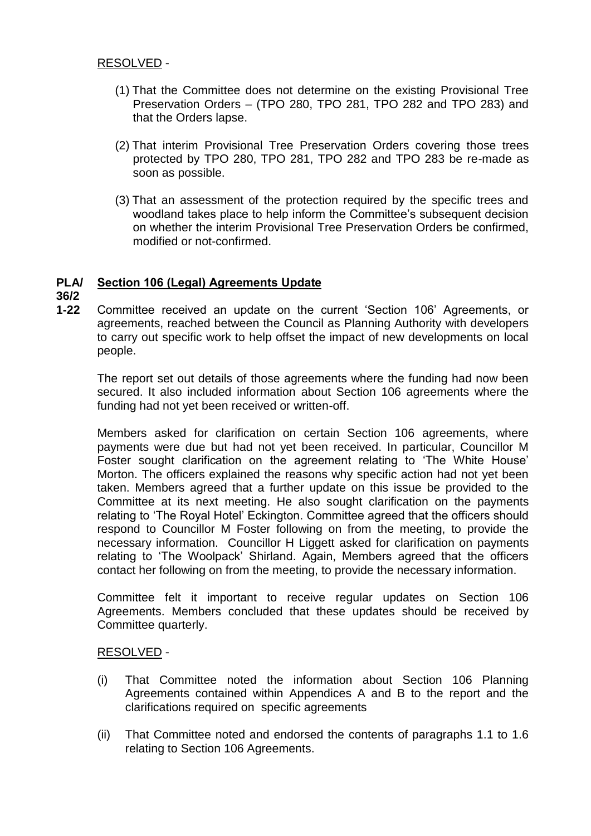# RESOLVED -

- (1) That the Committee does not determine on the existing Provisional Tree Preservation Orders – (TPO 280, TPO 281, TPO 282 and TPO 283) and that the Orders lapse.
- (2) That interim Provisional Tree Preservation Orders covering those trees protected by TPO 280, TPO 281, TPO 282 and TPO 283 be re-made as soon as possible.
- (3) That an assessment of the protection required by the specific trees and woodland takes place to help inform the Committee's subsequent decision on whether the interim Provisional Tree Preservation Orders be confirmed, modified or not-confirmed.

### **PLA/ Section 106 (Legal) Agreements Update**

## **36/2**

**1-22** Committee received an update on the current 'Section 106' Agreements, or agreements, reached between the Council as Planning Authority with developers to carry out specific work to help offset the impact of new developments on local people.

The report set out details of those agreements where the funding had now been secured. It also included information about Section 106 agreements where the funding had not yet been received or written-off.

Members asked for clarification on certain Section 106 agreements, where payments were due but had not yet been received. In particular, Councillor M Foster sought clarification on the agreement relating to 'The White House' Morton. The officers explained the reasons why specific action had not yet been taken. Members agreed that a further update on this issue be provided to the Committee at its next meeting. He also sought clarification on the payments relating to 'The Royal Hotel' Eckington. Committee agreed that the officers should respond to Councillor M Foster following on from the meeting, to provide the necessary information. Councillor H Liggett asked for clarification on payments relating to 'The Woolpack' Shirland. Again, Members agreed that the officers contact her following on from the meeting, to provide the necessary information.

Committee felt it important to receive regular updates on Section 106 Agreements. Members concluded that these updates should be received by Committee quarterly.

## RESOLVED -

- (i) That Committee noted the information about Section 106 Planning Agreements contained within Appendices A and B to the report and the clarifications required on specific agreements
- (ii) That Committee noted and endorsed the contents of paragraphs 1.1 to 1.6 relating to Section 106 Agreements.